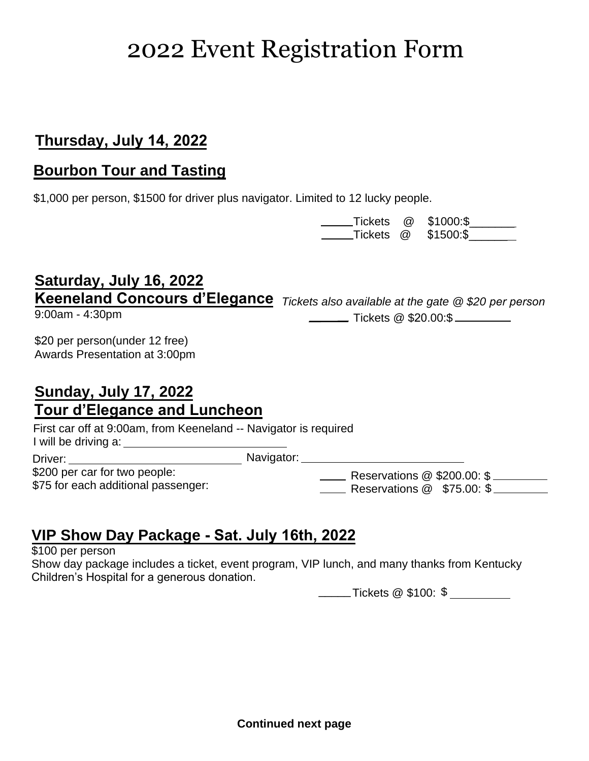## 2022 Event Registration Form

### **Thursday, July 14, 2022**

### **Bourbon Tour and Tasting**

\$1,000 per person, \$1500 for driver plus navigator. Limited to 12 lucky people.

|           | Tickets @ \$1000:\$ |
|-----------|---------------------|
| Tickets @ | \$1500:\$           |

# **Saturday, July 16, 2022**

9:00am - 4:30pm

**Keeneland Concours d'Elegance** Tickets also available at the gate @ \$20 per person Tickets @ \$20.00:\$

\$20 per person(under 12 free) Awards Presentation at 3:00pm

### **Sunday, July 17, 2022 Tour d'Elegance and Luncheon**

First car off at 9:00am, from Keeneland -- Navigator is required I will be driving a:

Driver: \$200 per car for two people: \$75 for each additional passenger:

**Mavigator:** 1997) Navigator:

**Lacks** Reservations @ \$200.00: \$ Reservations @ \$75.00: \$

## **VIP Show Day Package - Sat. July 16th, 2022**

\$100 per person

Show day package includes a ticket, event program, VIP lunch, and many thanks from Kentucky Children's Hospital for a generous donation.

Tickets @ \$100: \$ \_\_\_\_\_